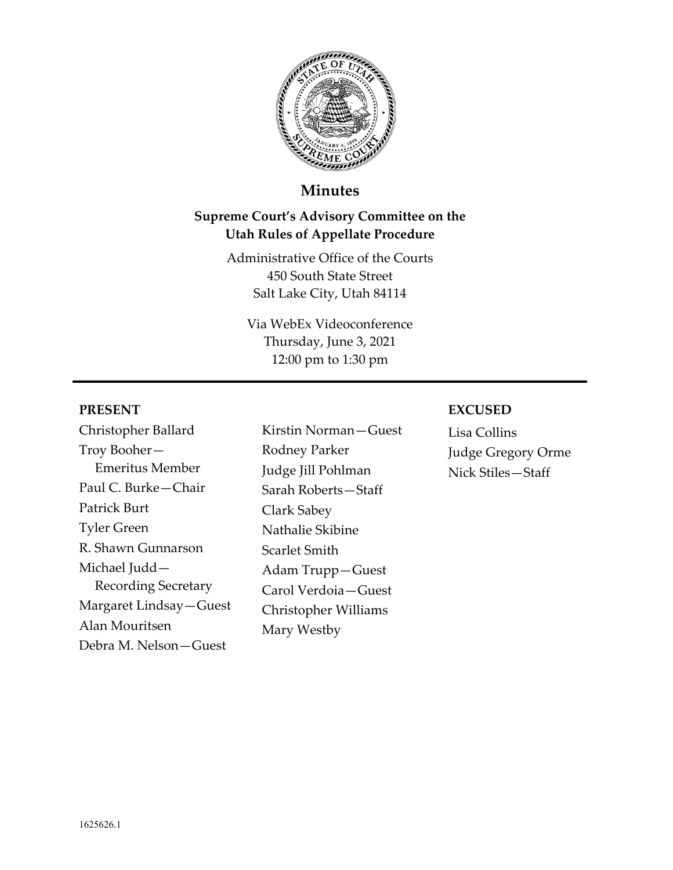

# **Minutes**

# **Supreme Court's Advisory Committee on the Utah Rules of Appellate Procedure**

Administrative Office of the Courts 450 South State Street Salt Lake City, Utah 84114

Via WebEx Videoconference Thursday, June 3, 2021 12:00 pm to 1:30 pm

#### **PRESENT**

Christopher Ballard Troy Booher— Emeritus Member Paul C. Burke—Chair Patrick Burt Tyler Green R. Shawn Gunnarson Michael Judd— Recording Secretary Margaret Lindsay—Guest Alan Mouritsen Debra M. Nelson—Guest

Kirstin Norman—Guest Rodney Parker Judge Jill Pohlman Sarah Roberts—Staff Clark Sabey Nathalie Skibine Scarlet Smith Adam Trupp—Guest Carol Verdoia—Guest Christopher Williams Mary Westby

#### **EXCUSED**

Lisa Collins Judge Gregory Orme Nick Stiles—Staff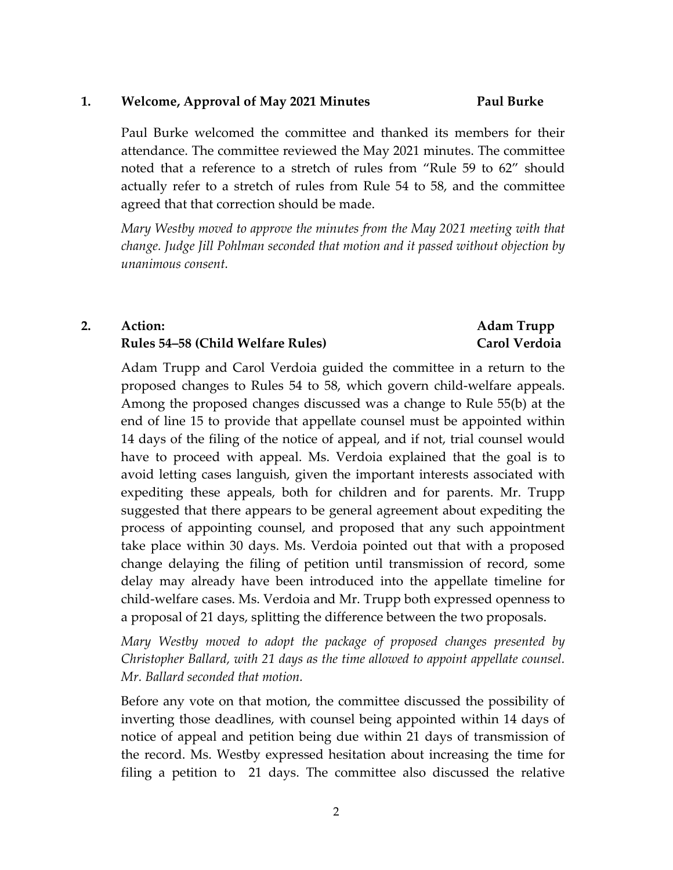#### **1. Welcome, Approval of May 2021 Minutes Paul Burke**

Paul Burke welcomed the committee and thanked its members for their attendance. The committee reviewed the May 2021 minutes. The committee noted that a reference to a stretch of rules from "Rule 59 to 62" should actually refer to a stretch of rules from Rule 54 to 58, and the committee agreed that that correction should be made.

*Mary Westby moved to approve the minutes from the May 2021 meeting with that change. Judge Jill Pohlman seconded that motion and it passed without objection by unanimous consent.*

# **2. Action: Rules 54–58 (Child Welfare Rules)**

## **Adam Trupp Carol Verdoia**

Adam Trupp and Carol Verdoia guided the committee in a return to the proposed changes to Rules 54 to 58, which govern child‐welfare appeals. Among the proposed changes discussed was a change to Rule 55(b) at the end of line 15 to provide that appellate counsel must be appointed within 14 days of the filing of the notice of appeal, and if not, trial counsel would have to proceed with appeal. Ms. Verdoia explained that the goal is to avoid letting cases languish, given the important interests associated with expediting these appeals, both for children and for parents. Mr. Trupp suggested that there appears to be general agreement about expediting the process of appointing counsel, and proposed that any such appointment take place within 30 days. Ms. Verdoia pointed out that with a proposed change delaying the filing of petition until transmission of record, some delay may already have been introduced into the appellate timeline for child‐welfare cases. Ms. Verdoia and Mr. Trupp both expressed openness to a proposal of 21 days, splitting the difference between the two proposals.

*Mary Westby moved to adopt the package of proposed changes presented by Christopher Ballard, with 21 days as the time allowed to appoint appellate counsel. Mr. Ballard seconded that motion.*

Before any vote on that motion, the committee discussed the possibility of inverting those deadlines, with counsel being appointed within 14 days of notice of appeal and petition being due within 21 days of transmission of the record. Ms. Westby expressed hesitation about increasing the time for filing a petition to 21 days. The committee also discussed the relative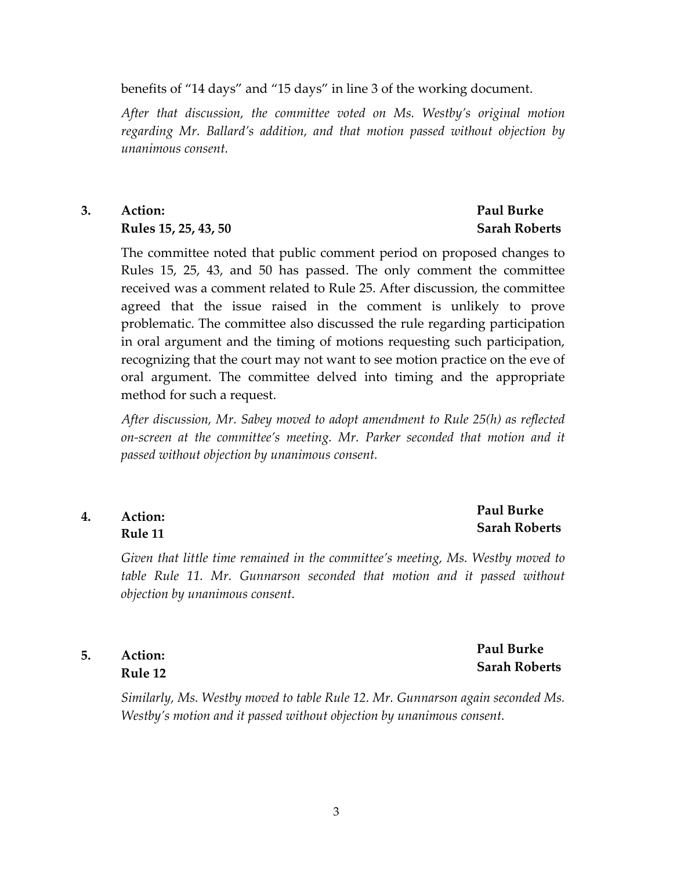benefits of "14 days" and "15 days" in line 3 of the working document.

*After that discussion, the committee voted on Ms. Westby's original motion regarding Mr. Ballard's addition, and that motion passed without objection by unanimous consent.*

**3. Action: Rules 15, 25, 43, 50**

> The committee noted that public comment period on proposed changes to Rules 15, 25, 43, and 50 has passed. The only comment the committee received was a comment related to Rule 25. After discussion, the committee agreed that the issue raised in the comment is unlikely to prove problematic. The committee also discussed the rule regarding participation in oral argument and the timing of motions requesting such participation, recognizing that the court may not want to see motion practice on the eve of oral argument. The committee delved into timing and the appropriate method for such a request.

> *After discussion, Mr. Sabey moved to adopt amendment to Rule 25(h) as reflected on‐screen at the committee's meeting. Mr. Parker seconded that motion and it passed without objection by unanimous consent.*

#### **4. Action: Rule 11**

#### **Paul Burke Sarah Roberts**

**Paul Burke Sarah Roberts**

*Given that little time remained in the committee's meeting, Ms. Westby moved to table Rule 11. Mr. Gunnarson seconded that motion and it passed without objection by unanimous consent.*

#### **5. Action: Rule 12**

*Similarly, Ms. Westby moved to table Rule 12. Mr. Gunnarson again seconded Ms. Westby's motion and it passed without objection by unanimous consent.*

# **Sarah Roberts**

**Paul Burke**